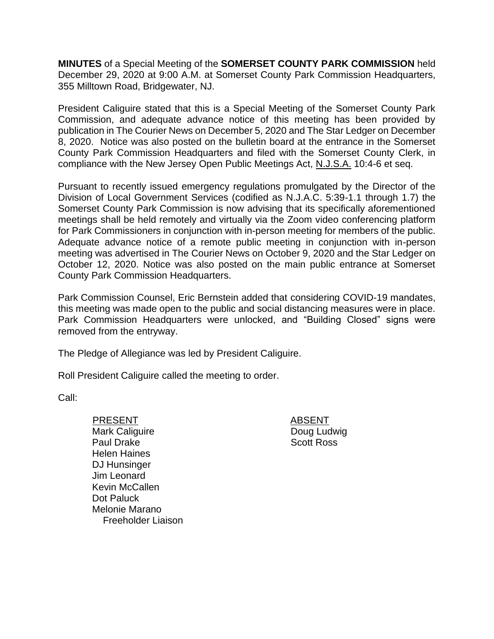**MINUTES** of a Special Meeting of the **SOMERSET COUNTY PARK COMMISSION** held December 29, 2020 at 9:00 A.M. at Somerset County Park Commission Headquarters, 355 Milltown Road, Bridgewater, NJ.

President Caliguire stated that this is a Special Meeting of the Somerset County Park Commission, and adequate advance notice of this meeting has been provided by publication in The Courier News on December 5, 2020 and The Star Ledger on December 8, 2020. Notice was also posted on the bulletin board at the entrance in the Somerset County Park Commission Headquarters and filed with the Somerset County Clerk, in compliance with the New Jersey Open Public Meetings Act, N.J.S.A. 10:4-6 et seq.

Pursuant to recently issued emergency regulations promulgated by the Director of the Division of Local Government Services (codified as N.J.A.C. 5:39-1.1 through 1.7) the Somerset County Park Commission is now advising that its specifically aforementioned meetings shall be held remotely and virtually via the Zoom video conferencing platform for Park Commissioners in conjunction with in-person meeting for members of the public. Adequate advance notice of a remote public meeting in conjunction with in-person meeting was advertised in The Courier News on October 9, 2020 and the Star Ledger on October 12, 2020. Notice was also posted on the main public entrance at Somerset County Park Commission Headquarters.

Park Commission Counsel, Eric Bernstein added that considering COVID-19 mandates, this meeting was made open to the public and social distancing measures were in place. Park Commission Headquarters were unlocked, and "Building Closed" signs were removed from the entryway.

The Pledge of Allegiance was led by President Caliguire.

Roll President Caliguire called the meeting to order.

Call:

- PRESENT ABSENT Mark Caliguire Paul Drake Helen Haines DJ Hunsinger Jim Leonard Kevin McCallen Dot Paluck Melonie Marano Freeholder Liaison
- Doug Ludwig Scott Ross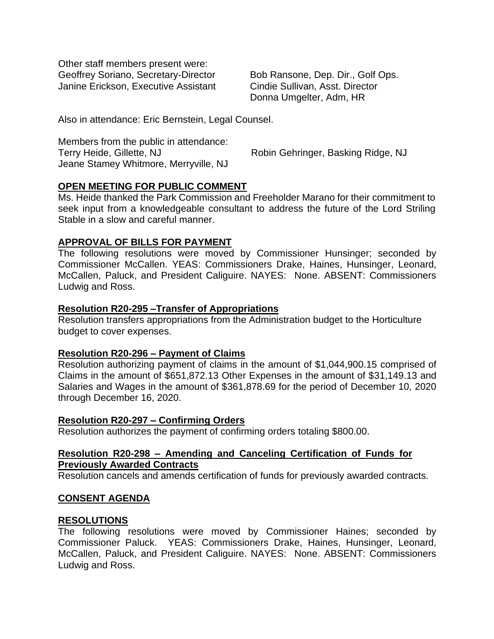Other staff members present were: Geoffrey Soriano, Secretary-Director Janine Erickson, Executive Assistant

Bob Ransone, Dep. Dir., Golf Ops. Cindie Sullivan, Asst. Director Donna Umgelter, Adm, HR

Also in attendance: Eric Bernstein, Legal Counsel.

Members from the public in attendance: Terry Heide, Gillette, NJ Robin Gehringer, Basking Ridge, NJ Jeane Stamey Whitmore, Merryville, NJ

## **OPEN MEETING FOR PUBLIC COMMENT**

Ms. Heide thanked the Park Commission and Freeholder Marano for their commitment to seek input from a knowledgeable consultant to address the future of the Lord Striling Stable in a slow and careful manner.

### **APPROVAL OF BILLS FOR PAYMENT**

The following resolutions were moved by Commissioner Hunsinger; seconded by Commissioner McCallen. YEAS: Commissioners Drake, Haines, Hunsinger, Leonard, McCallen, Paluck, and President Caliguire. NAYES: None. ABSENT: Commissioners Ludwig and Ross.

### **Resolution R20-295 –Transfer of Appropriations**

Resolution transfers appropriations from the Administration budget to the Horticulture budget to cover expenses.

### **Resolution R20-296 – Payment of Claims**

Resolution authorizing payment of claims in the amount of \$1,044,900.15 comprised of Claims in the amount of \$651,872.13 Other Expenses in the amount of \$31,149.13 and Salaries and Wages in the amount of \$361,878.69 for the period of December 10, 2020 through December 16, 2020.

### **Resolution R20-297 – Confirming Orders**

Resolution authorizes the payment of confirming orders totaling \$800.00.

### **Resolution R20-298 – Amending and Canceling Certification of Funds for Previously Awarded Contracts**

Resolution cancels and amends certification of funds for previously awarded contracts.

# **CONSENT AGENDA**

### **RESOLUTIONS**

The following resolutions were moved by Commissioner Haines; seconded by Commissioner Paluck. YEAS: Commissioners Drake, Haines, Hunsinger, Leonard, McCallen, Paluck, and President Caliguire. NAYES: None. ABSENT: Commissioners Ludwig and Ross.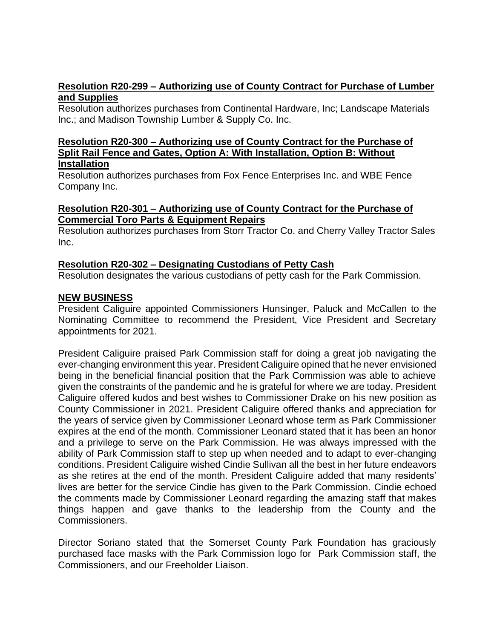## **Resolution R20-299 – Authorizing use of County Contract for Purchase of Lumber and Supplies**

Resolution authorizes purchases from Continental Hardware, Inc; Landscape Materials Inc.; and Madison Township Lumber & Supply Co. Inc.

#### **Resolution R20-300 – Authorizing use of County Contract for the Purchase of Split Rail Fence and Gates, Option A: With Installation, Option B: Without Installation**

Resolution authorizes purchases from Fox Fence Enterprises Inc. and WBE Fence Company Inc.

## **Resolution R20-301 – Authorizing use of County Contract for the Purchase of Commercial Toro Parts & Equipment Repairs**

Resolution authorizes purchases from Storr Tractor Co. and Cherry Valley Tractor Sales Inc.

# **Resolution R20-302 – Designating Custodians of Petty Cash**

Resolution designates the various custodians of petty cash for the Park Commission.

### **NEW BUSINESS**

President Caliguire appointed Commissioners Hunsinger, Paluck and McCallen to the Nominating Committee to recommend the President, Vice President and Secretary appointments for 2021.

President Caliguire praised Park Commission staff for doing a great job navigating the ever-changing environment this year. President Caliguire opined that he never envisioned being in the beneficial financial position that the Park Commission was able to achieve given the constraints of the pandemic and he is grateful for where we are today. President Caliguire offered kudos and best wishes to Commissioner Drake on his new position as County Commissioner in 2021. President Caliguire offered thanks and appreciation for the years of service given by Commissioner Leonard whose term as Park Commissioner expires at the end of the month. Commissioner Leonard stated that it has been an honor and a privilege to serve on the Park Commission. He was always impressed with the ability of Park Commission staff to step up when needed and to adapt to ever-changing conditions. President Caliguire wished Cindie Sullivan all the best in her future endeavors as she retires at the end of the month. President Caliguire added that many residents' lives are better for the service Cindie has given to the Park Commission. Cindie echoed the comments made by Commissioner Leonard regarding the amazing staff that makes things happen and gave thanks to the leadership from the County and the Commissioners.

Director Soriano stated that the Somerset County Park Foundation has graciously purchased face masks with the Park Commission logo for Park Commission staff, the Commissioners, and our Freeholder Liaison.